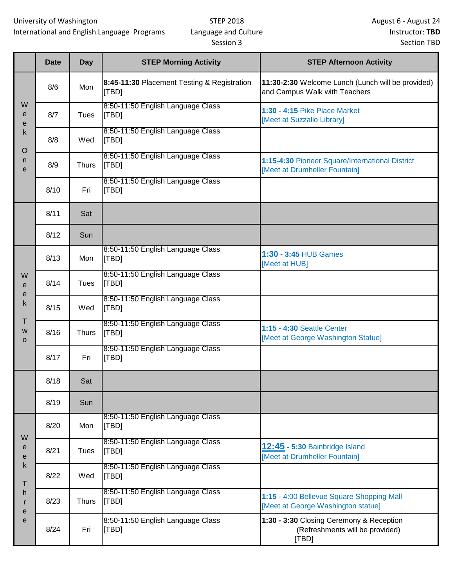## STEP 2018 Language and Culture Session 3

|                                                     | <b>Date</b> | Day          | <b>STEP Morning Activity</b>                         | <b>STEP Afternoon Activity</b>                                                       |
|-----------------------------------------------------|-------------|--------------|------------------------------------------------------|--------------------------------------------------------------------------------------|
| W<br>e<br>е<br>k<br>$\circ$<br>n<br>e               | 8/6         | Mon          | 8:45-11:30 Placement Testing & Registration<br>[TBD] | 11:30-2:30 Welcome Lunch (Lunch will be provided)<br>and Campus Walk with Teachers   |
|                                                     | 8/7         | Tues         | 8:50-11:50 English Language Class<br><b>TBD</b>      | 1:30 - 4:15 Pike Place Market<br>[Meet at Suzzallo Library]                          |
|                                                     | 8/8         | Wed          | 8:50-11:50 English Language Class<br>[TBD]           |                                                                                      |
|                                                     | 8/9         | <b>Thurs</b> | 8:50-11:50 English Language Class<br>[TBD]           | 1:15-4:30 Pioneer Square/International District<br>[Meet at Drumheller Fountain]     |
|                                                     | 8/10        | Fri          | 8:50-11:50 English Language Class<br>[TBD]           |                                                                                      |
|                                                     | 8/11        | Sat          |                                                      |                                                                                      |
|                                                     | 8/12        | Sun          |                                                      |                                                                                      |
| W<br>$\mathbf e$<br>е<br>k<br>Τ<br>W<br>$\mathbf O$ | 8/13        | Mon          | 8:50-11:50 English Language Class<br>[TBD]           | 1:30 - 3:45 HUB Games<br>[Meet at HUB]                                               |
|                                                     | 8/14        | Tues         | 8:50-11:50 English Language Class<br><b>TBDI</b>     |                                                                                      |
|                                                     | 8/15        | Wed          | 8:50-11:50 English Language Class<br>[TBD]           |                                                                                      |
|                                                     | 8/16        | <b>Thurs</b> | 8:50-11:50 English Language Class<br><b>TBDI</b>     | 1:15 - 4:30 Seattle Center<br>[Meet at George Washington Statue]                     |
|                                                     | 8/17        | Fri          | 8:50-11:50 English Language Class<br>[TBD]           |                                                                                      |
|                                                     | 8/18        | Sat          |                                                      |                                                                                      |
|                                                     | 8/19        | Sun          |                                                      |                                                                                      |
| W<br>e<br>е<br>k<br>т<br>h<br>r<br>е<br>е           | 8/20        | Mon          | 8:50-11:50 English Language Class<br><b>TBDI</b>     |                                                                                      |
|                                                     | 8/21        | Tues         | 8:50-11:50 English Language Class<br>[TBD]           | <b>12:45 - 5:30 Bainbridge Island</b><br>[Meet at Drumheller Fountain]               |
|                                                     | 8/22        | Wed          | 8:50-11:50 English Language Class<br><b>TBDI</b>     |                                                                                      |
|                                                     | 8/23        | Thurs        | 8:50-11:50 English Language Class<br>[TBD]           | 1:15 - 4:00 Bellevue Square Shopping Mall<br>[Meet at George Washington statue]      |
|                                                     | 8/24        | Fri          | 8:50-11:50 English Language Class<br>[TBD]           | 1:30 - 3:30 Closing Ceremony & Reception<br>(Refreshments will be provided)<br>[TBD] |